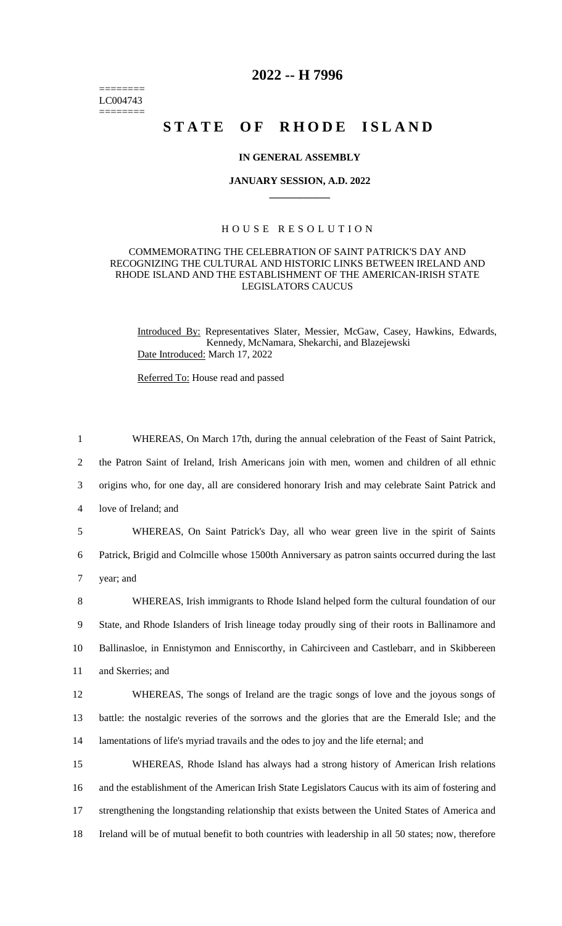======== LC004743 ========

# **2022 -- H 7996**

# STATE OF RHODE ISLAND

## **IN GENERAL ASSEMBLY**

#### **JANUARY SESSION, A.D. 2022 \_\_\_\_\_\_\_\_\_\_\_\_**

# H O U S E R E S O L U T I O N

## COMMEMORATING THE CELEBRATION OF SAINT PATRICK'S DAY AND RECOGNIZING THE CULTURAL AND HISTORIC LINKS BETWEEN IRELAND AND RHODE ISLAND AND THE ESTABLISHMENT OF THE AMERICAN-IRISH STATE LEGISLATORS CAUCUS

Introduced By: Representatives Slater, Messier, McGaw, Casey, Hawkins, Edwards, Kennedy, McNamara, Shekarchi, and Blazejewski Date Introduced: March 17, 2022

Referred To: House read and passed

 WHEREAS, On March 17th, during the annual celebration of the Feast of Saint Patrick, the Patron Saint of Ireland, Irish Americans join with men, women and children of all ethnic origins who, for one day, all are considered honorary Irish and may celebrate Saint Patrick and love of Ireland; and WHEREAS, On Saint Patrick's Day, all who wear green live in the spirit of Saints Patrick, Brigid and Colmcille whose 1500th Anniversary as patron saints occurred during the last year; and

 WHEREAS, Irish immigrants to Rhode Island helped form the cultural foundation of our State, and Rhode Islanders of Irish lineage today proudly sing of their roots in Ballinamore and Ballinasloe, in Ennistymon and Enniscorthy, in Cahirciveen and Castlebarr, and in Skibbereen and Skerries; and

12 WHEREAS, The songs of Ireland are the tragic songs of love and the joyous songs of 13 battle: the nostalgic reveries of the sorrows and the glories that are the Emerald Isle; and the 14 lamentations of life's myriad travails and the odes to joy and the life eternal; and

 WHEREAS, Rhode Island has always had a strong history of American Irish relations and the establishment of the American Irish State Legislators Caucus with its aim of fostering and strengthening the longstanding relationship that exists between the United States of America and Ireland will be of mutual benefit to both countries with leadership in all 50 states; now, therefore